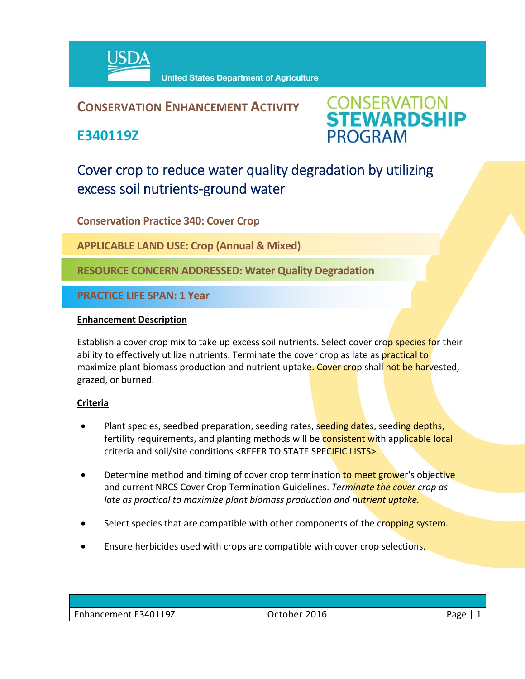

## **CONSERVATION ENHANCEMENT ACTIVITY**

**E340119Z**



# Cover crop to reduce water quality degradation by utilizing excess soil nutrients-ground water

**Conservation Practice 340: Cover Crop**

**APPLICABLE LAND USE: Crop (Annual & Mixed)** 

**RESOURCE CONCERN ADDRESSED: Water Quality Degradation**

**PRACTICE LIFE SPAN: 1 Year**

#### **Enhancement Description**

Establish a cover crop mix to take up excess soil nutrients. Select cover crop species for their ability to effectively utilize nutrients. Terminate the cover crop as late as practical to maximize plant biomass production and nutrient uptake. Cover crop shall not be harvested, grazed, or burned.

### **Criteria**

- Plant species, seedbed preparation, seeding rates, seeding dates, seeding depths, fertility requirements, and planting methods will be **consistent with applicable local** criteria and soil/site conditions <REFER TO STATE SPECIFIC LISTS>.
- Determine method and timing of cover crop termination to meet grower's objective and current NRCS Cover Crop Termination Guidelines. *Terminate the cover crop as late as practical to maximize plant biomass production and nutrient uptake.*
- Select species that are compatible with other components of the cropping system.
- Ensure herbicides used with crops are compatible with cover crop selections.

| E340119Z<br>Lnhancement | c+cbcr<br>_Ulb_<br>∍uober. | Page |
|-------------------------|----------------------------|------|